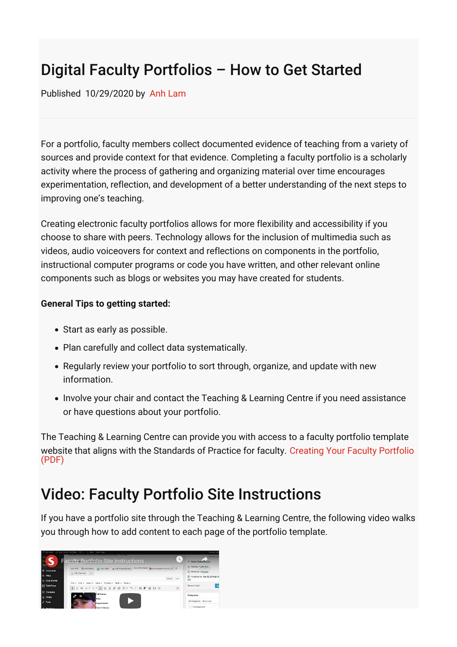## Digital Faculty Portfolios – How to Get Started

Published 10/29/2020 by [Anh Lam](https://employees.senecacollege.ca/people/anh-lam)

For a portfolio, faculty members collect documented evidence of teaching from a variety of sources and provide context for that evidence. Completing a faculty portfolio is a scholarly activity where the process of gathering and organizing material over time encourages experimentation, reflection, and development of a better understanding of the next steps to improving one's teaching.

Creating electronic faculty portfolios allows for more flexibility and accessibility if you choose to share with peers. Technology allows for the inclusion of multimedia such as videos, audio voiceovers for context and reflections on components in the portfolio, instructional computer programs or code you have written, and other relevant online components such as blogs or websites you may have created for students.

## **General Tips to getting started:**

- Start as early as possible.
- Plan carefully and collect data systematically.
- Regularly review your portfolio to sort through, organize, and update with new information.
- Involve your chair and contact the Teaching & Learning Centre if you need assistance or have questions about your portfolio.

The Teaching & Learning Centre can provide you with access to a faculty portfolio template website that aligns with the Standards of Practice for faculty. [Creating Your Faculty Portfolio](https://employees.senecacollege.ca/spaces/39/the-teaching-learning-centre/files/5059/creating-your-faculty-portfolio-pdf) (PDF)

## Video: Faculty Portfolio Site Instructions

If you have a portfolio site through the Teaching & Learning Centre, the following video walks you through how to add content to each page of the portfolio template.